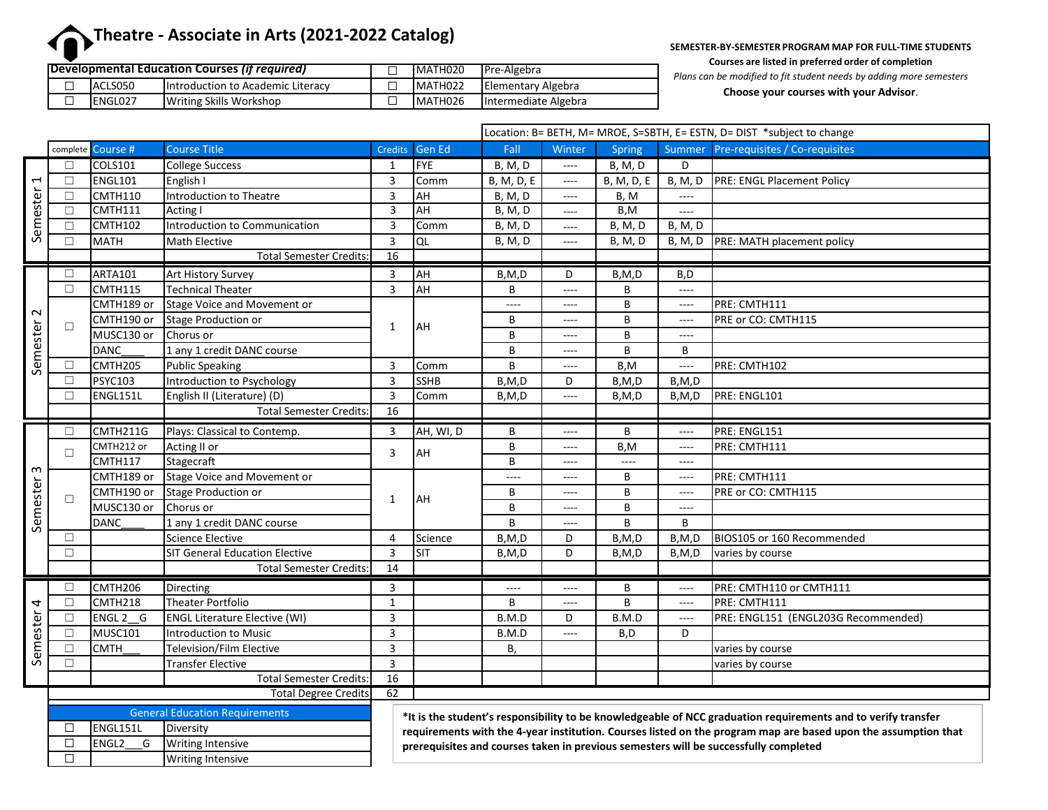# **Theatre - Associate in Arts (2021-2022 Catalog)**

**SEMESTER-BY-SEMESTER PROGRAM MAP FOR FULL-TIME STUDENTS Courses are listed in preferred order of completion**

|  |                 | Developmental Education Courses (if required) | MATH020 | Pre-Algebra          | Plans c |
|--|-----------------|-----------------------------------------------|---------|----------------------|---------|
|  | ACLS050         | <b>Introduction to Academic Literacy</b>      | MATH022 | Elementary Algebra   |         |
|  | <b>IENGLO27</b> | Writing Skills Workshop                       | MATH026 | Intermediate Algebra |         |

*Plans can be modified to fit student needs by adding more semesters*

**Choose your courses with your Advisor**.

|                       |        |                   |                                       |                |               | Location: B= BETH, M= MROE, S=SBTH, E= ESTN, D= DIST *subject to change |                          |                |                |                                       |  |
|-----------------------|--------|-------------------|---------------------------------------|----------------|---------------|-------------------------------------------------------------------------|--------------------------|----------------|----------------|---------------------------------------|--|
|                       |        | complete Course # | <b>Course Title</b>                   | <b>Credits</b> | <b>Gen Ed</b> | Fall                                                                    | Winter                   | Spring         |                | Summer Pre-requisites / Co-requisites |  |
|                       | П      | COLS101           | <b>College Success</b>                | 1              | <b>FYE</b>    | <b>B, M, D</b>                                                          | $\cdots$                 | <b>B, M, D</b> | D.             |                                       |  |
|                       | $\Box$ | <b>ENGL101</b>    | English I                             | $\overline{3}$ | Comm          | B, M, D, E                                                              | $\overline{\phantom{a}}$ | B, M, D, E     | <b>B, M, D</b> | PRE: ENGL Placement Policy            |  |
|                       | $\Box$ | <b>CMTH110</b>    | Introduction to Theatre               | $\overline{3}$ | AH            | <b>B</b> , M, D                                                         | $\cdots$                 | B, M           | $---$          |                                       |  |
|                       | □      | CMTH111           | Acting I                              | 3              | AH            | B, M, D                                                                 | $\cdots$                 | B, M           | ----           |                                       |  |
| Semester <sub>1</sub> | $\Box$ | CMTH102           | Introduction to Communication         | 3              | Comm          | <b>B, M, D</b>                                                          | $\cdots$                 | B, M, D        | <b>B, M, D</b> |                                       |  |
|                       | П      | <b>MATH</b>       | Math Elective                         | $\mathbf{3}$   | QL            | <b>B, M, D</b>                                                          | ----                     | <b>B, M, D</b> | B, M, D        | PRE: MATH placement policy            |  |
|                       |        |                   | <b>Total Semester Credits:</b>        | 16             |               |                                                                         |                          |                |                |                                       |  |
|                       | □      | ARTA101           | <b>Art History Survey</b>             | 3              | AH            | B,M,D                                                                   | D                        | B, M, D        | B,D            |                                       |  |
|                       | $\Box$ | CMTH115           | <b>Technical Theater</b>              | 3              | AH            | В                                                                       | $\cdots$                 | В              | $---$          |                                       |  |
|                       | $\Box$ | CMTH189 or        | Stage Voice and Movement or           |                | <b>JAH</b>    | ----                                                                    | $\cdots$                 | B              | ----           | PRE: CMTH111                          |  |
| Semester <sub>2</sub> |        | CMTH190 or        | <b>Stage Production or</b>            | $\mathbf{1}$   |               | B                                                                       | $\cdots$                 | B              | $---$          | PRE or CO: CMTH115                    |  |
|                       |        | MUSC130 or        | Chorus or                             |                |               | B                                                                       | $\cdots$                 | B              | $\cdots$       |                                       |  |
|                       |        | <b>DANC</b>       | 1 any 1 credit DANC course            |                |               | B                                                                       | $\cdots$                 | B              | B              |                                       |  |
|                       | П      | CMTH205           | <b>Public Speaking</b>                | $\overline{3}$ | Comm          | B                                                                       | $\cdots$                 | B, M           | $\cdots$       | PRE: CMTH102                          |  |
|                       | П      | <b>PSYC103</b>    | Introduction to Psychology            | $\overline{3}$ | <b>SSHB</b>   | B, M, D                                                                 | D                        | B, M, D        | B,M,D          |                                       |  |
|                       | □      | ENGL151L          | English II (Literature) (D)           | $\overline{3}$ | Comm          | B.M.D                                                                   | $---$                    | B,M,D          | B,M,D          | PRE: ENGL101                          |  |
|                       |        |                   | <b>Total Semester Credits</b>         | 16             |               |                                                                         |                          |                |                |                                       |  |
|                       |        |                   |                                       |                |               |                                                                         |                          |                |                |                                       |  |
|                       | □      | CMTH211G          | Plays: Classical to Contemp.          | 3              | AH, WI, D     | B                                                                       | $\cdots$                 | B              | $\cdots$       | PRE: ENGL151                          |  |
|                       |        | CMTH212 or        | Acting II or                          |                |               | B                                                                       | ----                     | B, M           | $\cdots$       | PRE: CMTH111                          |  |
|                       | $\Box$ | <b>CMTH117</b>    | Stagecraft                            | 3              | <b>AH</b>     | B                                                                       | $\cdots$                 | $\cdots$       | $\cdots$       |                                       |  |
|                       |        | CMTH189 or        | <b>Stage Voice and Movement or</b>    |                |               | $---$                                                                   | $\cdots$                 | B              | $\cdots$       | PRE: CMTH111                          |  |
|                       |        | CMTH190 or        | <b>Stage Production or</b>            |                |               | B                                                                       | $\cdots$                 | B              | $---$          | PRE or CO: CMTH115                    |  |
|                       | □      | MUSC130 or        | Chorus or                             | 1              | <b>AH</b>     | B                                                                       | $\cdots$                 | B              | $---$          |                                       |  |
|                       |        | <b>DANC</b>       | 1 any 1 credit DANC course            |                |               | B                                                                       | $\cdots$                 | B              | B              |                                       |  |
| Semester 3            | П      |                   | <b>Science Elective</b>               | $\overline{4}$ | Science       | B,M,D                                                                   | D                        | B, M, D        | B, M, D        | BIOS105 or 160 Recommended            |  |
|                       | $\Box$ |                   | <b>SIT General Education Elective</b> | $\overline{3}$ | Isit          | B, M, D                                                                 | D                        | B, M, D        | B,M,D          | varies by course                      |  |
|                       |        |                   | <b>Total Semester Credits:</b>        | 14             |               |                                                                         |                          |                |                |                                       |  |
|                       | $\Box$ | CMTH206           | Directing                             | 3              |               | $---$                                                                   | $\cdots$                 | B              | $---$          | PRE: CMTH110 or CMTH111               |  |
|                       | $\Box$ | CMTH218           | <b>Theater Portfolio</b>              | $\mathbf{1}$   |               | B                                                                       | $\cdots$                 | B              | $---$          | PRE: CMTH111                          |  |
|                       | □      | ENGL 2 G          | <b>ENGL Literature Elective (WI)</b>  | 3              |               | B.M.D                                                                   | D                        | B.M.D          | ----           | PRE: ENGL151 (ENGL203G Recommended)   |  |
|                       | П      | <b>MUSC101</b>    | Introduction to Music                 | 3              |               | B.M.D                                                                   | $\cdots$                 | B,D            | D              |                                       |  |
|                       | П      | <b>CMTH</b>       | <b>Television/Film Elective</b>       | 3              |               | В,                                                                      |                          |                |                | varies by course                      |  |
| Semester 4            | $\Box$ |                   | <b>Transfer Elective</b>              | $\overline{3}$ |               |                                                                         |                          |                |                | varies by course                      |  |
|                       |        |                   | <b>Total Semester Credits:</b>        | 16             |               |                                                                         |                          |                |                |                                       |  |
|                       |        |                   | <b>Total Degree Credits</b>           | 62             |               |                                                                         |                          |                |                |                                       |  |

| <b>General Education Requirements</b> |                          |  |  |  |  |  |
|---------------------------------------|--------------------------|--|--|--|--|--|
| ENGL151L                              | Diversity                |  |  |  |  |  |
| IFNGI 2<br>G                          | <b>Writing Intensive</b> |  |  |  |  |  |
|                                       | <b>Writing Intensive</b> |  |  |  |  |  |

**\*It is the student's responsibility to be knowledgeable of NCC graduation requirements and to verify transfer requirements with the 4-year institution. Courses listed on the program map are based upon the assumption that prerequisites and courses taken in previous semesters will be successfully completed**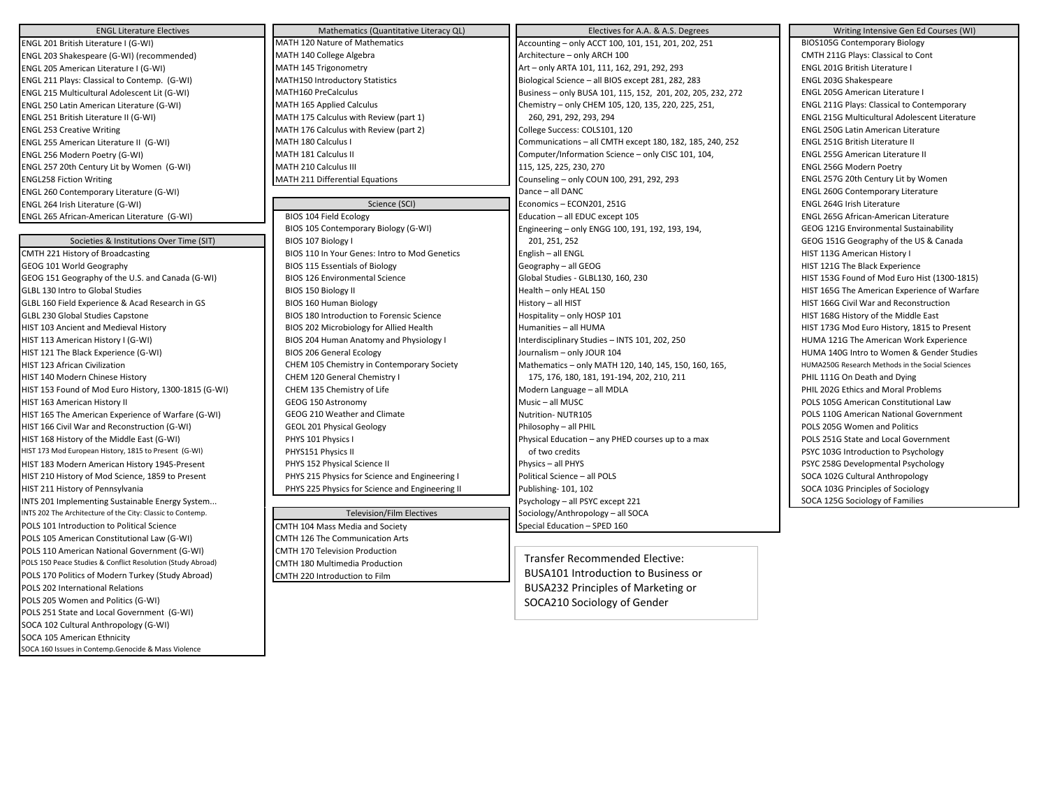| <b>ENGL Literature Electives</b>                            | Mathematics (Quantitative Literacy QL)          | Electives for A.A. & A.S. Degrees                           | Writing Intensive Gen Ed Courses (WI)                |
|-------------------------------------------------------------|-------------------------------------------------|-------------------------------------------------------------|------------------------------------------------------|
| ENGL 201 British Literature I (G-WI)                        | MATH 120 Nature of Mathematics                  | Accounting - only ACCT 100, 101, 151, 201, 202, 251         | <b>BIOS105G Contemporary Biology</b>                 |
| ENGL 203 Shakespeare (G-WI) (recommended)                   | MATH 140 College Algebra                        | Architecture - only ARCH 100                                | CMTH 211G Plays: Classical to Cont                   |
| ENGL 205 American Literature I (G-WI)                       | MATH 145 Trigonometry                           | Art - only ARTA 101, 111, 162, 291, 292, 293                | ENGL 201G British Literature I                       |
| ENGL 211 Plays: Classical to Contemp. (G-WI)                | MATH150 Introductory Statistics                 | Biological Science - all BIOS except 281, 282, 283          | ENGL 203G Shakespeare                                |
| ENGL 215 Multicultural Adolescent Lit (G-WI)                | MATH160 PreCalculus                             | Business - only BUSA 101, 115, 152, 201, 202, 205, 232, 272 | ENGL 205G American Literature I                      |
| ENGL 250 Latin American Literature (G-WI)                   | MATH 165 Applied Calculus                       | Chemistry - only CHEM 105, 120, 135, 220, 225, 251,         | ENGL 211G Plays: Classical to Contemporary           |
| ENGL 251 British Literature II (G-WI)                       | MATH 175 Calculus with Review (part 1)          | 260, 291, 292, 293, 294                                     | <b>ENGL 215G Multicultural Adolescent Literature</b> |
| <b>ENGL 253 Creative Writing</b>                            | MATH 176 Calculus with Review (part 2)          | College Success: COLS101, 120                               | <b>ENGL 250G Latin American Literature</b>           |
| ENGL 255 American Literature II (G-WI)                      | MATH 180 Calculus I                             | Communications - all CMTH except 180, 182, 185, 240, 252    | ENGL 251G British Literature II                      |
| ENGL 256 Modern Poetry (G-WI)                               | MATH 181 Calculus II                            | Computer/Information Science - only CISC 101, 104,          | ENGL 255G American Literature II                     |
| ENGL 257 20th Century Lit by Women (G-WI)                   | MATH 210 Calculus III                           | 115, 125, 225, 230, 270                                     | ENGL 256G Modern Poetry                              |
| <b>ENGL258 Fiction Writing</b>                              | MATH 211 Differential Equations                 | Counseling - only COUN 100, 291, 292, 293                   | ENGL 257G 20th Century Lit by Women                  |
| ENGL 260 Contemporary Literature (G-WI)                     |                                                 | Dance - all DANC                                            | <b>ENGL 260G Contemporary Literature</b>             |
| ENGL 264 Irish Literature (G-WI)                            | Science (SCI)                                   | Economics - ECON201, 251G                                   | ENGL 264G Irish Literature                           |
| ENGL 265 African-American Literature (G-WI)                 | BIOS 104 Field Ecology                          | Education - all EDUC except 105                             | ENGL 265G African-American Literature                |
|                                                             | BIOS 105 Contemporary Biology (G-WI)            | Engineering - only ENGG 100, 191, 192, 193, 194,            | GEOG 121G Environmental Sustainability               |
| Societies & Institutions Over Time (SIT)                    | BIOS 107 Biology I                              | 201, 251, 252                                               | GEOG 151G Geography of the US & Canada               |
| CMTH 221 History of Broadcasting                            | BIOS 110 In Your Genes: Intro to Mod Genetics   | English - all ENGL                                          | HIST 113G American History I                         |
| GEOG 101 World Geography                                    | <b>BIOS 115 Essentials of Biology</b>           | Geography - all GEOG                                        | HIST 121G The Black Experience                       |
| GEOG 151 Geography of the U.S. and Canada (G-WI)            | <b>BIOS 126 Environmental Science</b>           | Global Studies - GLBL130, 160, 230                          | HIST 153G Found of Mod Euro Hist (1300-1815)         |
| GLBL 130 Intro to Global Studies                            | BIOS 150 Biology II                             | Health - only HEAL 150                                      | HIST 165G The American Experience of Warfare         |
| GLBL 160 Field Experience & Acad Research in GS             | BIOS 160 Human Biology                          | History - all HIST                                          | HIST 166G Civil War and Reconstruction               |
| GLBL 230 Global Studies Capstone                            | BIOS 180 Introduction to Forensic Science       | Hospitality - only HOSP 101                                 | HIST 168G History of the Middle East                 |
| HIST 103 Ancient and Medieval History                       | BIOS 202 Microbiology for Allied Health         | Humanities - all HUMA                                       | HIST 173G Mod Euro History, 1815 to Present          |
| HIST 113 American History I (G-WI)                          | BIOS 204 Human Anatomy and Physiology I         | Interdisciplinary Studies - INTS 101, 202, 250              | HUMA 121G The American Work Experience               |
| HIST 121 The Black Experience (G-WI)                        | <b>BIOS 206 General Ecology</b>                 | Journalism - only JOUR 104                                  | HUMA 140G Intro to Women & Gender Studies            |
| HIST 123 African Civilization                               | CHEM 105 Chemistry in Contemporary Society      | Mathematics - only MATH 120, 140, 145, 150, 160, 165,       | HUMA250G Research Methods in the Social Sciences     |
| HIST 140 Modern Chinese History                             | CHEM 120 General Chemistry I                    | 175, 176, 180, 181, 191-194, 202, 210, 211                  | PHIL 111G On Death and Dying                         |
| HIST 153 Found of Mod Euro History, 1300-1815 (G-WI)        | CHEM 135 Chemistry of Life                      | Modern Language - all MDLA                                  | PHIL 202G Ethics and Moral Problems                  |
| HIST 163 American History II                                | GEOG 150 Astronomy                              | Music - all MUSC                                            | POLS 105G American Constitutional Law                |
| HIST 165 The American Experience of Warfare (G-WI)          | GEOG 210 Weather and Climate                    | Nutrition-NUTR105                                           | POLS 110G American National Government               |
| HIST 166 Civil War and Reconstruction (G-WI)                | <b>GEOL 201 Physical Geology</b>                | Philosophy - all PHIL                                       | POLS 205G Women and Politics                         |
| HIST 168 History of the Middle East (G-WI)                  | PHYS 101 Physics I                              | Physical Education - any PHED courses up to a max           | POLS 251G State and Local Government                 |
| HIST 173 Mod European History, 1815 to Present (G-WI)       | PHYS151 Physics II                              | of two credits                                              | PSYC 103G Introduction to Psychology                 |
| HIST 183 Modern American History 1945-Present               | PHYS 152 Physical Science II                    | Physics - all PHYS                                          | PSYC 258G Developmental Psychology                   |
| HIST 210 History of Mod Science, 1859 to Present            | PHYS 215 Physics for Science and Engineering I  | Political Science - all POLS                                | SOCA 102G Cultural Anthropology                      |
| HIST 211 History of Pennsylvania                            | PHYS 225 Physics for Science and Engineering II | Publishing- 101, 102                                        | SOCA 103G Principles of Sociology                    |
| INTS 201 Implementing Sustainable Energy System             |                                                 | Psychology - all PSYC except 221                            | SOCA 125G Sociology of Families                      |
| INTS 202 The Architecture of the City: Classic to Contemp.  | <b>Television/Film Electives</b>                | Sociology/Anthropology - all SOCA                           |                                                      |
| POLS 101 Introduction to Political Science                  | CMTH 104 Mass Media and Society                 | Special Education - SPED 160                                |                                                      |
| POLS 105 American Constitutional Law (G-WI)                 | CMTH 126 The Communication Arts                 |                                                             |                                                      |
| POLS 110 American National Government (G-WI)                | CMTH 170 Television Production                  |                                                             |                                                      |
| POLS 150 Peace Studies & Conflict Resolution (Study Abroad) | CMTH 180 Multimedia Production                  | Transfer Recommended Elective:                              |                                                      |
| POLS 170 Politics of Modern Turkey (Study Abroad)           | CMTH 220 Introduction to Film                   | <b>BUSA101 Introduction to Business or</b>                  |                                                      |
| POLS 202 International Relations                            |                                                 | <b>BUSA232 Principles of Marketing or</b>                   |                                                      |
| POLS 205 Women and Politics (G-WI)                          |                                                 | SOCA210 Sociology of Gender                                 |                                                      |
| POLS 251 State and Local Government (G-WI)                  |                                                 |                                                             |                                                      |
| SOCA 102 Cultural Anthropology (G-WI)                       |                                                 |                                                             |                                                      |
| SOCA 105 American Ethnicity                                 |                                                 |                                                             |                                                      |
| SOCA 160 Issues in Contemp.Genocide & Mass Violence         |                                                 |                                                             |                                                      |
|                                                             |                                                 |                                                             |                                                      |